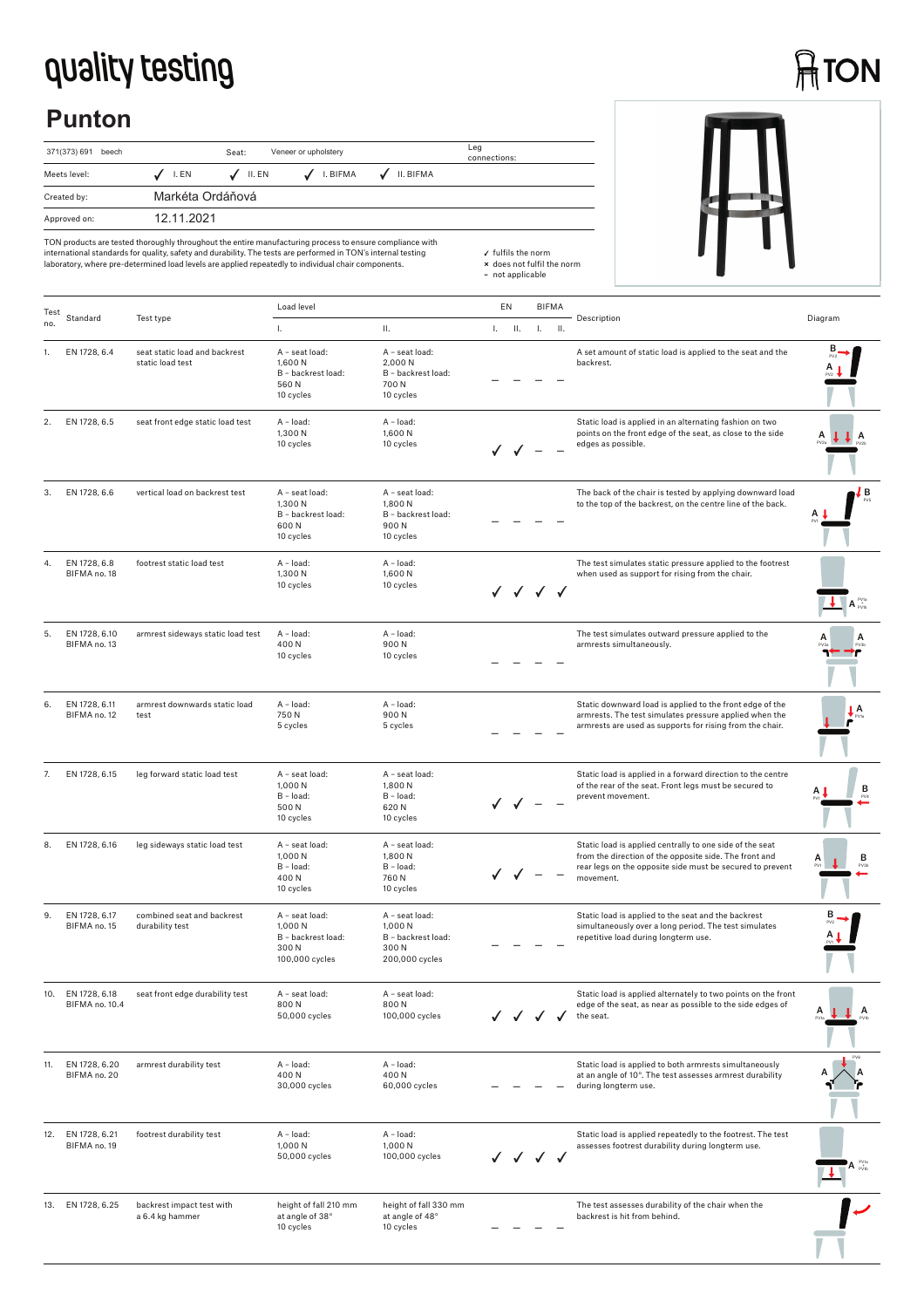## **quality testing**

## **ATON**

## **Punton**





TON products are tested thoroughly throughout the entire manufacturing process to ensure compliance with<br>international standards for quality, safety and durability. The tests are performed in TON's internal testing<br>laborat

| Test | Standard                        | Test type                                         | Load level                                                                 |                                                                           | EN |          | BIFMA        |            | Description                                                                                                                                                                                  | Diagram                                                                                                                                |
|------|---------------------------------|---------------------------------------------------|----------------------------------------------------------------------------|---------------------------------------------------------------------------|----|----------|--------------|------------|----------------------------------------------------------------------------------------------------------------------------------------------------------------------------------------------|----------------------------------------------------------------------------------------------------------------------------------------|
| no.  |                                 |                                                   | Ι.                                                                         | Ш.                                                                        |    | $L = IL$ | T.           | <b>II.</b> |                                                                                                                                                                                              |                                                                                                                                        |
|      | EN 1728, 6.4                    | seat static load and backrest<br>static load test | A - seat load:<br>1,600 N<br>B - backrest load:<br>560N<br>10 cycles       | A - seat load:<br>2,000N<br>B - backrest load:<br>700N<br>10 cycles       |    |          |              |            | A set amount of static load is applied to the seat and the<br>backrest.                                                                                                                      |                                                                                                                                        |
| 2.   | EN 1728, 6.5                    | seat front edge static load test                  | A - load:<br>1,300 N<br>10 cycles                                          | A - load:<br>1,600 N<br>10 cycles                                         |    | ✓ ✓ −    |              |            | Static load is applied in an alternating fashion on two<br>points on the front edge of the seat, as close to the side<br>edges as possible.                                                  | A                                                                                                                                      |
| 3.   | EN 1728, 6.6                    | vertical load on backrest test                    | A - seat load:<br>1,300 N<br>B - backrest load:<br>600N<br>10 cycles       | A - seat load:<br>1,800N<br>B - backrest load:<br>900N<br>10 cycles       |    |          |              |            | The back of the chair is tested by applying downward load<br>to the top of the backrest, on the centre line of the back.                                                                     | ļВ                                                                                                                                     |
| 4.   | EN 1728, 6.8<br>BIFMA no. 18    | footrest static load test                         | A - load:<br>1,300 N<br>10 cycles                                          | A - load:<br>1,600N<br>10 cycles                                          |    |          | √ √ √ √      |            | The test simulates static pressure applied to the footrest<br>when used as support for rising from the chair.                                                                                | $\overline{\mathbf{A}}$ $\overline{\mathbf{A}}$ $\overline{\mathbf{B}}$ $\overline{\mathbf{B}}$ $\mathbf{B}$ $\mathbf{B}$ $\mathbf{B}$ |
| 5.   | EN 1728, 6.10<br>BIFMA no. 13   | armrest sideways static load test                 | A - load:<br>400N<br>10 cycles                                             | A - load:<br>900N<br>10 cycles                                            |    |          |              |            | The test simulates outward pressure applied to the<br>armrests simultaneously.                                                                                                               |                                                                                                                                        |
| 6.   | EN 1728, 6.11<br>BIFMA no. 12   | armrest downwards static load<br>test             | A - load:<br>750N<br>5 cycles                                              | A - load:<br>900N<br>5 cycles                                             |    |          |              |            | Static downward load is applied to the front edge of the<br>armrests. The test simulates pressure applied when the<br>armrests are used as supports for rising from the chair.               | А                                                                                                                                      |
| 7.   | EN 1728, 6.15                   | leg forward static load test                      | A - seat load:<br>1,000 N<br>B - load:<br>500N<br>10 cycles                | A - seat load:<br>1,800 N<br>$B - load:$<br>620N<br>10 cycles             |    |          |              |            | Static load is applied in a forward direction to the centre<br>of the rear of the seat. Front legs must be secured to<br>prevent movement.                                                   | в                                                                                                                                      |
| 8.   | EN 1728, 6.16                   | leg sideways static load test                     | A - seat load:<br>1,000N<br>B - load:<br>400N<br>10 cycles                 | A - seat load:<br>1,800 N<br>B - load:<br>760N<br>10 cycles               |    |          |              |            | Static load is applied centrally to one side of the seat<br>from the direction of the opposite side. The front and<br>rear legs on the opposite side must be secured to prevent<br>movement. | в                                                                                                                                      |
| 9.   | EN 1728, 6.17<br>BIFMA no. 15   | combined seat and backrest<br>durability test     | A - seat load:<br>1,000 N<br>B - backrest load:<br>300 N<br>100,000 cycles | A - seat load:<br>1,000 N<br>B - backrest load:<br>300N<br>200,000 cycles |    |          |              |            | Static load is applied to the seat and the backrest<br>simultaneously over a long period. The test simulates<br>repetitive load during longterm use.                                         |                                                                                                                                        |
| IU.  | EN 1728, 6.18<br>BIFMA no. 10.4 | seat front edge durability test                   | A - seat load:<br>800N<br>50,000 cycles                                    | A - seat load:<br>800N<br>100,000 cycles                                  |    |          |              |            | Static load is applied alternately to two points on the front<br>edge of the seat, as near as possible to the side edges of<br>the seat.                                                     | A                                                                                                                                      |
| 11.  | EN 1728, 6.20<br>BIFMA no. 20   | armrest durability test                           | $A - load$ :<br>400N<br>30,000 cycles                                      | $A - load:$<br>400N<br>60,000 cycles                                      |    |          |              |            | Static load is applied to both armrests simultaneously<br>at an angle of 10°. The test assesses armrest durability<br>during longterm use.                                                   |                                                                                                                                        |
| 12.  | EN 1728, 6.21<br>BIFMA no. 19   | footrest durability test                          | A - load:<br>1,000 N<br>50,000 cycles                                      | A - load:<br>1,000 N<br>100,000 cycles                                    |    |          | $\checkmark$ |            | Static load is applied repeatedly to the footrest. The test<br>assesses footrest durability during longterm use.                                                                             |                                                                                                                                        |
|      | 13. EN 1728, 6.25               | backrest impact test with<br>a 6.4 kg hammer      | height of fall 210 mm<br>at angle of 38°<br>10 cycles                      | height of fall 330 mm<br>at angle of 48°<br>10 cycles                     |    |          |              |            | The test assesses durability of the chair when the<br>backrest is hit from behind.                                                                                                           |                                                                                                                                        |